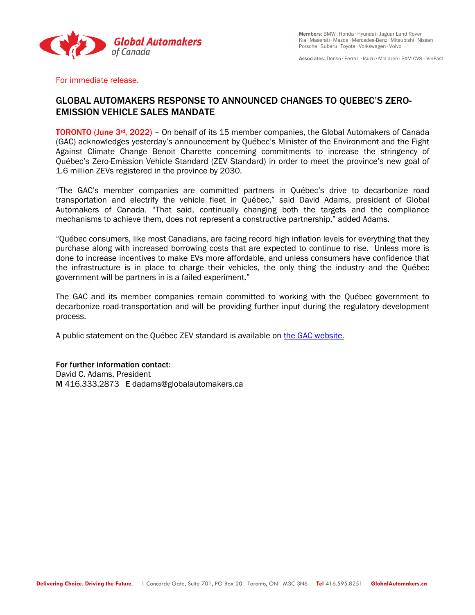

Associates: Denso ∙ Ferrari ∙ Isuzu ∙ McLaren ∙ SXM CVS - VinFast

For immediate release.

## GLOBAL AUTOMAKERS RESPONSE TO ANNOUNCED CHANGES TO QUEBEC'S ZERO-EMISSION VEHICLE SALES MANDATE

TORONTO (June 3<sup>rd</sup>, 2022) - On behalf of its 15 member companies, the Global Automakers of Canada (GAC) acknowledges yesterday's announcement by Québec's Minister of the Environment and the Fight Against Climate Change Benoit Charette concerning commitments to increase the stringency of Québec's Zero-Emission Vehicle Standard (ZEV Standard) in order to meet the province's new goal of 1.6 million ZEVs registered in the province by 2030.

"The GAC's member companies are committed partners in Québec's drive to decarbonize road transportation and electrify the vehicle fleet in Québec," said David Adams, president of Global Automakers of Canada. "That said, continually changing both the targets and the compliance mechanisms to achieve them, does not represent a constructive partnership," added Adams.

"Québec consumers, like most Canadians, are facing record high inflation levels for everything that they purchase along with increased borrowing costs that are expected to continue to rise. Unless more is done to increase incentives to make EVs more affordable, and unless consumers have confidence that the infrastructure is in place to charge their vehicles, the only thing the industry and the Québec government will be partners in is a failed experiment."

The GAC and its member companies remain committed to working with the Québec government to decarbonize road-transportation and will be providing further input during the regulatory development process.

A public statement on the Québec ZEV standard is available o[n the GAC website.](https://globalautomakers.ca/wp-content/uploads/Public-Statement-on-Quebec-ZEV-Standard_EN_final.pdf)

For further information contact: David C. Adams, President M 416.333.2873 E dadams@globalautomakers.ca